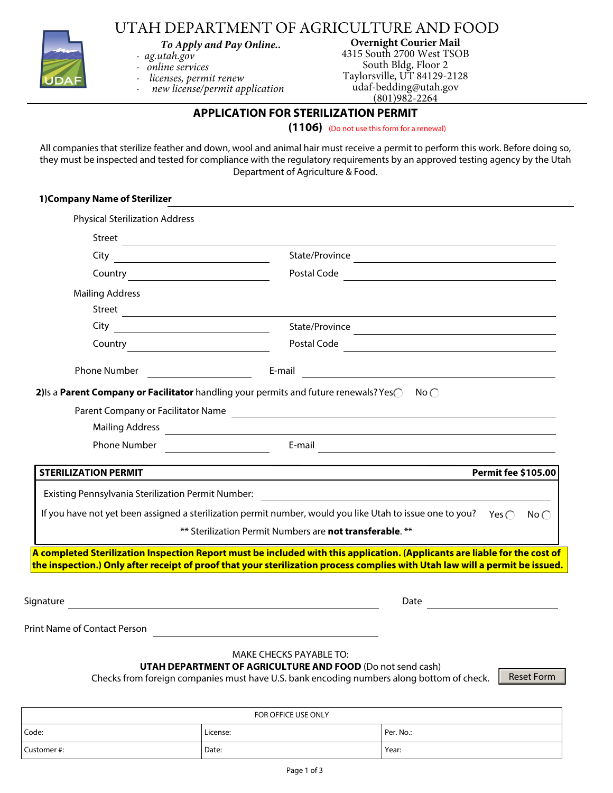

UTAH DEPARTMENT OF AGRICULTURE AND FOOD

*To Apply and Pay Online..*

- *· ag.utah.gov*
- *· online services · licenses, permit renew*
- *· new license/permit application*

**Overnight Courier Mail**  4315 South 2700 West TSOB South Bldg, Floor 2 Taylorsville, UT 84129-2128 udaf-bedding@utah.gov (801)982-2264

## **APPLICATION FOR STERILIZATION PERMIT**

#### **(1106)** (Do not use this form for a renewal)

All companies that sterilize feather and down, wool and animal hair must receive a permit to perform this work. Before doing so, they must be inspected and tested for compliance with the regulatory requirements by an approved testing agency by the Utah Department of Agriculture & Food.

| 1) Company Name of Sterilizer                                                                                                      |                                                                                                                                                                                                                                                            |
|------------------------------------------------------------------------------------------------------------------------------------|------------------------------------------------------------------------------------------------------------------------------------------------------------------------------------------------------------------------------------------------------------|
| <b>Physical Sterilization Address</b>                                                                                              |                                                                                                                                                                                                                                                            |
|                                                                                                                                    |                                                                                                                                                                                                                                                            |
|                                                                                                                                    |                                                                                                                                                                                                                                                            |
| <b>Country Country Country Country Country Country Country Country Country Country Countries</b>                                   |                                                                                                                                                                                                                                                            |
| <b>Mailing Address</b>                                                                                                             |                                                                                                                                                                                                                                                            |
|                                                                                                                                    | Street <u>the contract of the contract of the contract of the contract of the contract of the contract of the contract of the contract of the contract of the contract of the contract of the contract of the contract of the co</u>                       |
|                                                                                                                                    |                                                                                                                                                                                                                                                            |
|                                                                                                                                    |                                                                                                                                                                                                                                                            |
|                                                                                                                                    | $E$ -mail $\overline{\phantom{a}}$                                                                                                                                                                                                                         |
| <b>STERILIZATION PERMIT</b>                                                                                                        | <b>Permit fee \$105.00</b>                                                                                                                                                                                                                                 |
| Existing Pennsylvania Sterilization Permit Number:                                                                                 |                                                                                                                                                                                                                                                            |
|                                                                                                                                    | If you have not yet been assigned a sterilization permit number, would you like Utah to issue one to you? Yes $\bigcap$<br>$No$ $\cap$                                                                                                                     |
|                                                                                                                                    | ** Sterilization Permit Numbers are not transferable. **                                                                                                                                                                                                   |
|                                                                                                                                    | A completed Sterilization Inspection Report must be included with this application. (Applicants are liable for the cost of<br>the inspection.) Only after receipt of proof that your sterilization process complies with Utah law will a permit be issued. |
| Signature<br><u> 1989 - Johann Stoff, deutscher Stoffen und der Stoffen und der Stoffen und der Stoffen und der Stoffen und de</u> | Date                                                                                                                                                                                                                                                       |
| Print Name of Contact Person                                                                                                       |                                                                                                                                                                                                                                                            |
|                                                                                                                                    | MAKE CHECKS PAYABLE TO:                                                                                                                                                                                                                                    |

### **UTAH DEPARTMENT OF AGRICULTURE AND FOOD** (Do not send cash)

Checks from foreign companies must have U.S. bank encoding numbers along bottom of check.

Reset Form

| FOR OFFICE USE ONLY |          |           |  |  |
|---------------------|----------|-----------|--|--|
| Code:               | License: | Per. No.: |  |  |
| Customer#:          | Date:    | Year:     |  |  |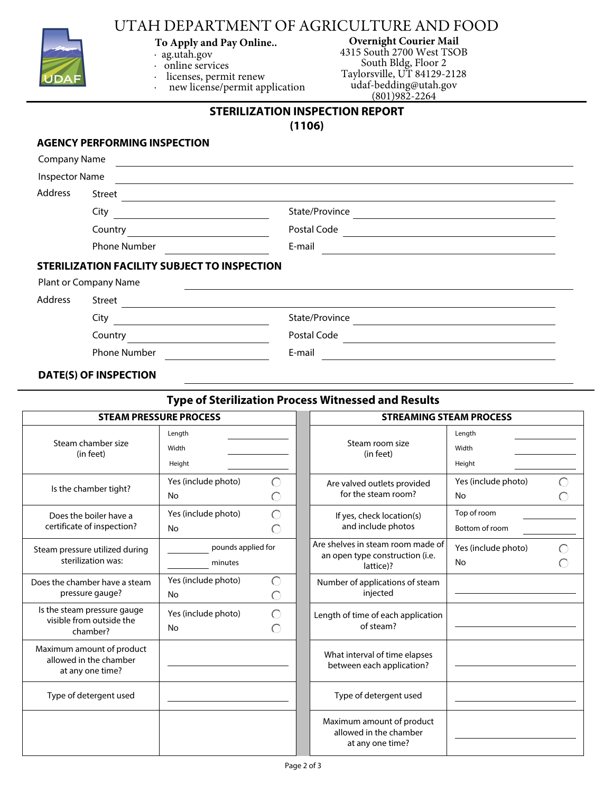

## UTAH DEPARTMENT OF AGRICULTURE AND FOOD

- **To Apply and Pay Online..**
- · ag.utah.gov
- · online services
- licenses, permit renew
	- new license/permit application

**Overnight Courier Mail**  4315 South 2700 West TSOB South Bldg, Floor 2 Taylorsville, UT 84129-2128 udaf-bedding@utah.gov  $(801)982 - 2264$ 

# **STERILIZATION INSPECTION REPORT**

**(1106)**

#### **AGENCY PERFORMING INSPECTION**

| <b>Company Name</b>   |                                                     |                |
|-----------------------|-----------------------------------------------------|----------------|
| <b>Inspector Name</b> |                                                     |                |
| Address               | Street                                              |                |
|                       | City                                                | State/Province |
|                       | Country                                             | Postal Code    |
|                       | <b>Phone Number</b>                                 | E-mail         |
|                       | <b>STERILIZATION FACILITY SUBJECT TO INSPECTION</b> |                |
|                       | Plant or Company Name                               |                |
| <b>Address</b>        | <b>Street</b>                                       |                |
|                       | City                                                | State/Province |
|                       | Country                                             | Postal Code    |
|                       | <b>Phone Number</b>                                 | E-mail         |
|                       |                                                     |                |

#### **DATE(S) OF INSPECTION**

#### **Type of Sterilization Process Witnessed and Results**

| <b>STEAM PRESSURE PROCESS</b>                                           |                               | <b>STREAMING STEAM PROCESS</b> |                                                                                   |                               |  |
|-------------------------------------------------------------------------|-------------------------------|--------------------------------|-----------------------------------------------------------------------------------|-------------------------------|--|
| Steam chamber size<br>(in feet)                                         | Length<br>Width<br>Height     |                                | Steam room size<br>(in feet)                                                      | Length<br>Width<br>Height     |  |
| Is the chamber tight?                                                   | Yes (include photo)<br>No     | ◯<br>O                         | Are valved outlets provided<br>for the steam room?                                | Yes (include photo)<br>No     |  |
| Does the boiler have a<br>certificate of inspection?                    | Yes (include photo)<br>No     | $\bigcirc$<br>$\bigcirc$       | If yes, check location(s)<br>and include photos                                   | Top of room<br>Bottom of room |  |
| Steam pressure utilized during<br>sterilization was:                    | pounds applied for<br>minutes |                                | Are shelves in steam room made of<br>an open type construction (i.e.<br>lattice)? | Yes (include photo)<br>No     |  |
| Does the chamber have a steam<br>pressure gauge?                        | Yes (include photo)<br>No     | $\bigcirc$<br>∩                | Number of applications of steam<br>injected                                       |                               |  |
| Is the steam pressure gauge<br>visible from outside the<br>chamber?     | Yes (include photo)<br>No     | $\bigcirc$<br>◯                | Length of time of each application<br>of steam?                                   |                               |  |
| Maximum amount of product<br>allowed in the chamber<br>at any one time? |                               |                                | What interval of time elapses<br>between each application?                        |                               |  |
| Type of detergent used                                                  |                               |                                | Type of detergent used                                                            |                               |  |
|                                                                         |                               |                                | Maximum amount of product<br>allowed in the chamber<br>at any one time?           |                               |  |